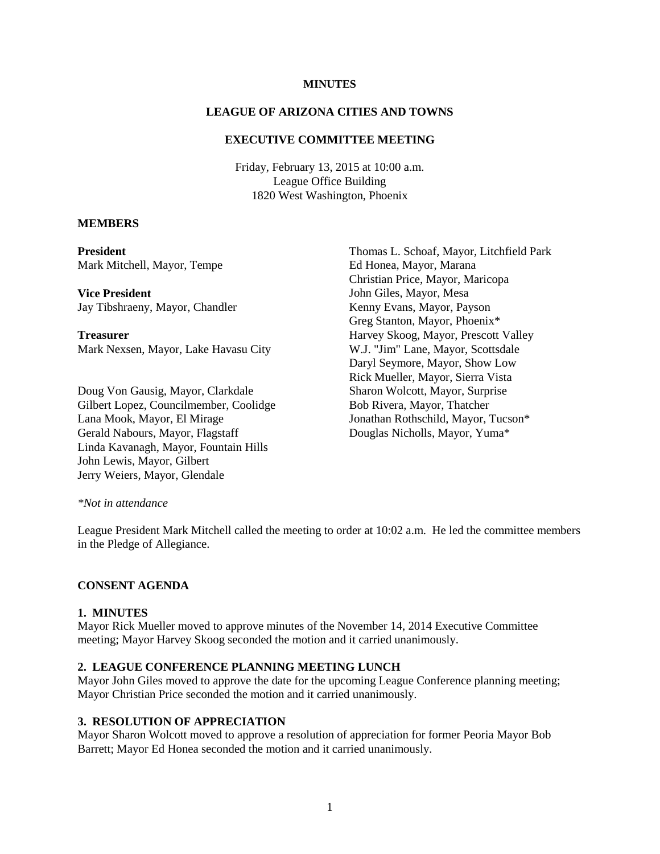## **MINUTES**

#### **LEAGUE OF ARIZONA CITIES AND TOWNS**

#### **EXECUTIVE COMMITTEE MEETING**

Friday, February 13, 2015 at 10:00 a.m. League Office Building 1820 West Washington, Phoenix

#### **MEMBERS**

**President** Mark Mitchell, Mayor, Tempe

**Vice President** Jay Tibshraeny, Mayor, Chandler

**Treasurer** Mark Nexsen, Mayor, Lake Havasu City

Doug Von Gausig, Mayor, Clarkdale Gilbert Lopez, Councilmember, Coolidge Lana Mook, Mayor, El Mirage Gerald Nabours, Mayor, Flagstaff Linda Kavanagh, Mayor, Fountain Hills John Lewis, Mayor, Gilbert Jerry Weiers, Mayor, Glendale

Thomas L. Schoaf, Mayor, Litchfield Park Ed Honea, Mayor, Marana Christian Price, Mayor, Maricopa John Giles, Mayor, Mesa Kenny Evans, Mayor, Payson Greg Stanton, Mayor, Phoenix\* Harvey Skoog, Mayor, Prescott Valley W.J. "Jim" Lane, Mayor, Scottsdale Daryl Seymore, Mayor, Show Low Rick Mueller, Mayor, Sierra Vista Sharon Wolcott, Mayor, Surprise Bob Rivera, Mayor, Thatcher Jonathan Rothschild, Mayor, Tucson\* Douglas Nicholls, Mayor, Yuma\*

#### *\*Not in attendance*

League President Mark Mitchell called the meeting to order at 10:02 a.m. He led the committee members in the Pledge of Allegiance.

#### **CONSENT AGENDA**

#### **1. MINUTES**

Mayor Rick Mueller moved to approve minutes of the November 14, 2014 Executive Committee meeting; Mayor Harvey Skoog seconded the motion and it carried unanimously.

### **2. LEAGUE CONFERENCE PLANNING MEETING LUNCH**

Mayor John Giles moved to approve the date for the upcoming League Conference planning meeting; Mayor Christian Price seconded the motion and it carried unanimously.

#### **3. RESOLUTION OF APPRECIATION**

Mayor Sharon Wolcott moved to approve a resolution of appreciation for former Peoria Mayor Bob Barrett; Mayor Ed Honea seconded the motion and it carried unanimously.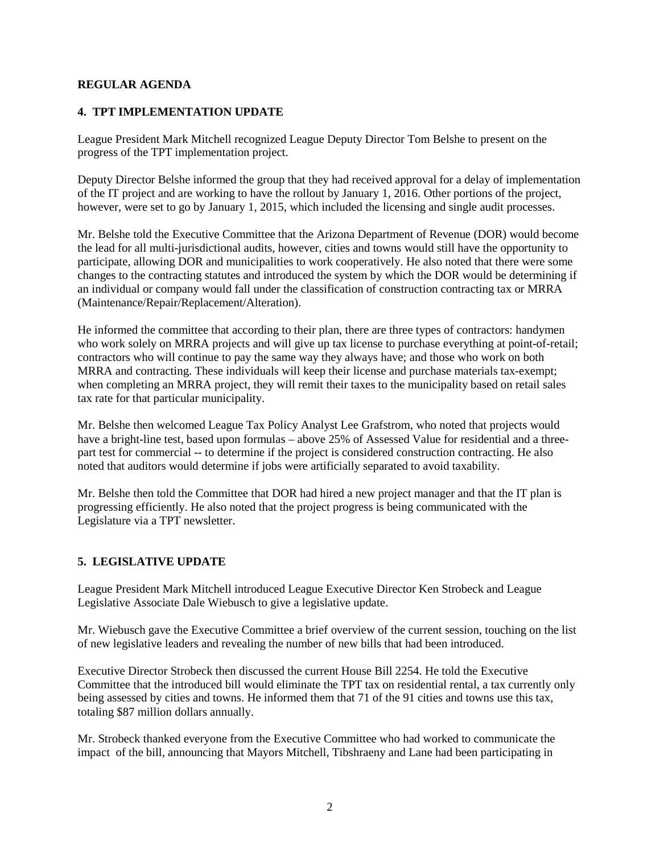## **REGULAR AGENDA**

## **4. TPT IMPLEMENTATION UPDATE**

League President Mark Mitchell recognized League Deputy Director Tom Belshe to present on the progress of the TPT implementation project.

Deputy Director Belshe informed the group that they had received approval for a delay of implementation of the IT project and are working to have the rollout by January 1, 2016. Other portions of the project, however, were set to go by January 1, 2015, which included the licensing and single audit processes.

Mr. Belshe told the Executive Committee that the Arizona Department of Revenue (DOR) would become the lead for all multi-jurisdictional audits, however, cities and towns would still have the opportunity to participate, allowing DOR and municipalities to work cooperatively. He also noted that there were some changes to the contracting statutes and introduced the system by which the DOR would be determining if an individual or company would fall under the classification of construction contracting tax or MRRA (Maintenance/Repair/Replacement/Alteration).

He informed the committee that according to their plan, there are three types of contractors: handymen who work solely on MRRA projects and will give up tax license to purchase everything at point-of-retail; contractors who will continue to pay the same way they always have; and those who work on both MRRA and contracting. These individuals will keep their license and purchase materials tax-exempt; when completing an MRRA project, they will remit their taxes to the municipality based on retail sales tax rate for that particular municipality.

Mr. Belshe then welcomed League Tax Policy Analyst Lee Grafstrom, who noted that projects would have a bright-line test, based upon formulas – above 25% of Assessed Value for residential and a threepart test for commercial -- to determine if the project is considered construction contracting. He also noted that auditors would determine if jobs were artificially separated to avoid taxability.

Mr. Belshe then told the Committee that DOR had hired a new project manager and that the IT plan is progressing efficiently. He also noted that the project progress is being communicated with the Legislature via a TPT newsletter.

### **5. LEGISLATIVE UPDATE**

League President Mark Mitchell introduced League Executive Director Ken Strobeck and League Legislative Associate Dale Wiebusch to give a legislative update.

Mr. Wiebusch gave the Executive Committee a brief overview of the current session, touching on the list of new legislative leaders and revealing the number of new bills that had been introduced.

Executive Director Strobeck then discussed the current House Bill 2254. He told the Executive Committee that the introduced bill would eliminate the TPT tax on residential rental, a tax currently only being assessed by cities and towns. He informed them that 71 of the 91 cities and towns use this tax, totaling \$87 million dollars annually.

Mr. Strobeck thanked everyone from the Executive Committee who had worked to communicate the impact of the bill, announcing that Mayors Mitchell, Tibshraeny and Lane had been participating in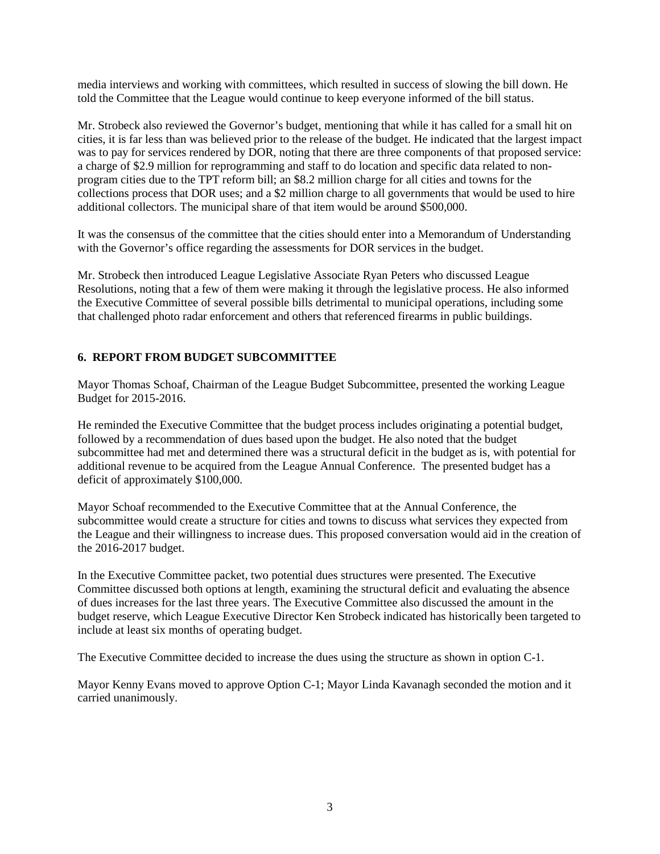media interviews and working with committees, which resulted in success of slowing the bill down. He told the Committee that the League would continue to keep everyone informed of the bill status.

Mr. Strobeck also reviewed the Governor's budget, mentioning that while it has called for a small hit on cities, it is far less than was believed prior to the release of the budget. He indicated that the largest impact was to pay for services rendered by DOR, noting that there are three components of that proposed service: a charge of \$2.9 million for reprogramming and staff to do location and specific data related to nonprogram cities due to the TPT reform bill; an \$8.2 million charge for all cities and towns for the collections process that DOR uses; and a \$2 million charge to all governments that would be used to hire additional collectors. The municipal share of that item would be around \$500,000.

It was the consensus of the committee that the cities should enter into a Memorandum of Understanding with the Governor's office regarding the assessments for DOR services in the budget.

Mr. Strobeck then introduced League Legislative Associate Ryan Peters who discussed League Resolutions, noting that a few of them were making it through the legislative process. He also informed the Executive Committee of several possible bills detrimental to municipal operations, including some that challenged photo radar enforcement and others that referenced firearms in public buildings.

# **6. REPORT FROM BUDGET SUBCOMMITTEE**

Mayor Thomas Schoaf, Chairman of the League Budget Subcommittee, presented the working League Budget for 2015-2016.

He reminded the Executive Committee that the budget process includes originating a potential budget, followed by a recommendation of dues based upon the budget. He also noted that the budget subcommittee had met and determined there was a structural deficit in the budget as is, with potential for additional revenue to be acquired from the League Annual Conference. The presented budget has a deficit of approximately \$100,000.

Mayor Schoaf recommended to the Executive Committee that at the Annual Conference, the subcommittee would create a structure for cities and towns to discuss what services they expected from the League and their willingness to increase dues. This proposed conversation would aid in the creation of the 2016-2017 budget.

In the Executive Committee packet, two potential dues structures were presented. The Executive Committee discussed both options at length, examining the structural deficit and evaluating the absence of dues increases for the last three years. The Executive Committee also discussed the amount in the budget reserve, which League Executive Director Ken Strobeck indicated has historically been targeted to include at least six months of operating budget.

The Executive Committee decided to increase the dues using the structure as shown in option C-1.

Mayor Kenny Evans moved to approve Option C-1; Mayor Linda Kavanagh seconded the motion and it carried unanimously.